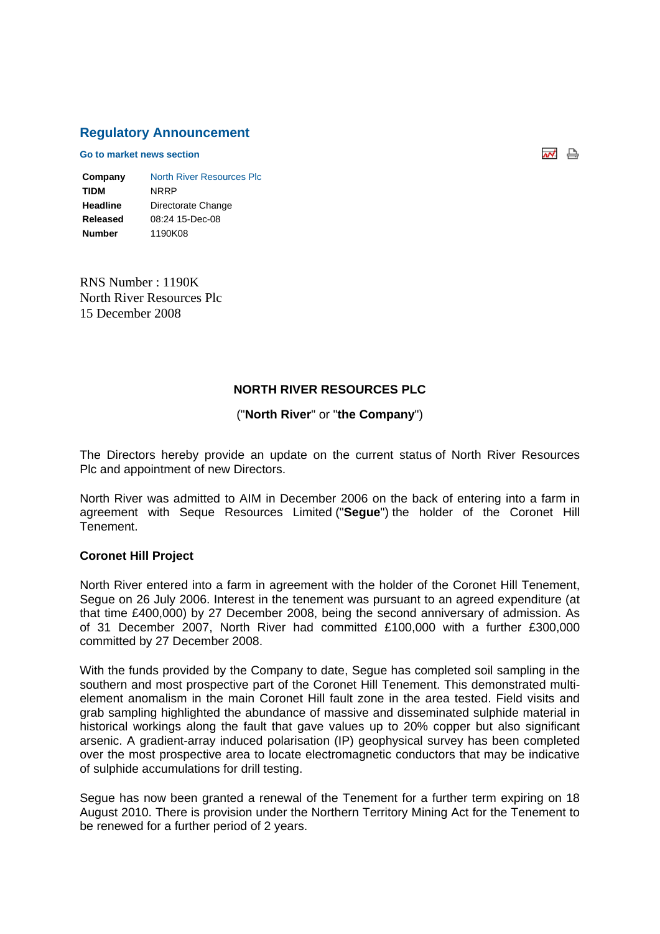#### **Regulatory Announcement**

**Go to market news section**

| Company         | North River Resources Plc |
|-----------------|---------------------------|
| <b>TIDM</b>     | NRRP                      |
| <b>Headline</b> | Directorate Change        |
| Released        | 08:24 15-Dec-08           |
| <b>Number</b>   | 1190K08                   |

RNS Number : 1190K North River Resources Plc 15 December 2008

#### **NORTH RIVER RESOURCES PLC**

#### ("**North River**" or "**the Company**")

The Directors hereby provide an update on the current status of North River Resources Plc and appointment of new Directors.

North River was admitted to AIM in December 2006 on the back of entering into a farm in agreement with Seque Resources Limited ("**Segue**") the holder of the Coronet Hill Tenement.

#### **Coronet Hill Project**

North River entered into a farm in agreement with the holder of the Coronet Hill Tenement, Segue on 26 July 2006. Interest in the tenement was pursuant to an agreed expenditure (at that time £400,000) by 27 December 2008, being the second anniversary of admission. As of 31 December 2007, North River had committed £100,000 with a further £300,000 committed by 27 December 2008.

With the funds provided by the Company to date, Segue has completed soil sampling in the southern and most prospective part of the Coronet Hill Tenement. This demonstrated multielement anomalism in the main Coronet Hill fault zone in the area tested. Field visits and grab sampling highlighted the abundance of massive and disseminated sulphide material in historical workings along the fault that gave values up to 20% copper but also significant arsenic. A gradient-array induced polarisation (IP) geophysical survey has been completed over the most prospective area to locate electromagnetic conductors that may be indicative of sulphide accumulations for drill testing.

Segue has now been granted a renewal of the Tenement for a further term expiring on 18 August 2010. There is provision under the Northern Territory Mining Act for the Tenement to be renewed for a further period of 2 years.

ᆏ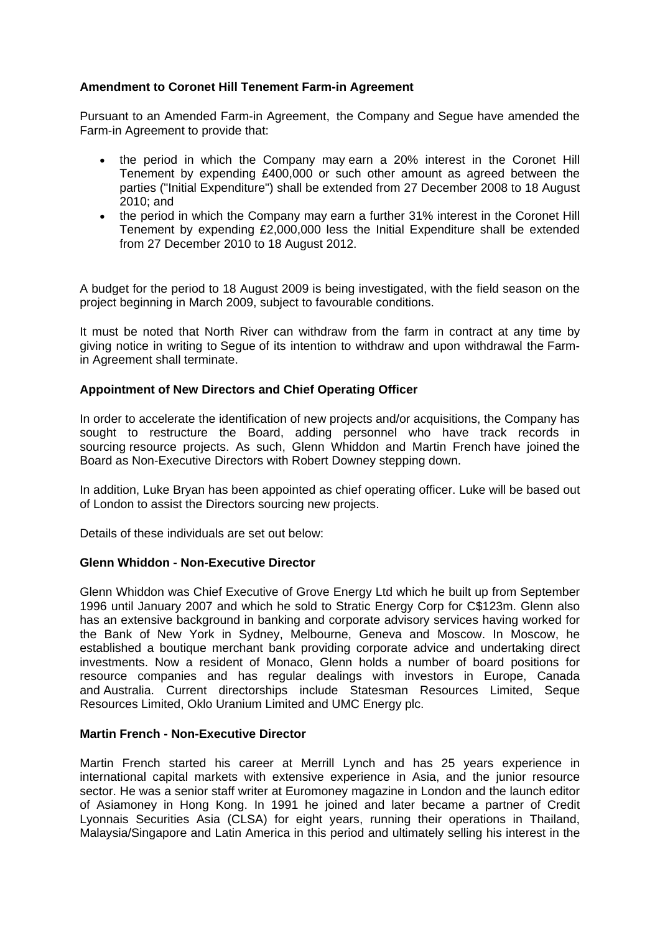## **Amendment to Coronet Hill Tenement Farm-in Agreement**

Pursuant to an Amended Farm-in Agreement, the Company and Segue have amended the Farm-in Agreement to provide that:

- the period in which the Company may earn a 20% interest in the Coronet Hill Tenement by expending £400,000 or such other amount as agreed between the parties ("Initial Expenditure") shall be extended from 27 December 2008 to 18 August 2010; and
- the period in which the Company may earn a further 31% interest in the Coronet Hill Tenement by expending £2,000,000 less the Initial Expenditure shall be extended from 27 December 2010 to 18 August 2012.

A budget for the period to 18 August 2009 is being investigated, with the field season on the project beginning in March 2009, subject to favourable conditions.

It must be noted that North River can withdraw from the farm in contract at any time by giving notice in writing to Segue of its intention to withdraw and upon withdrawal the Farmin Agreement shall terminate.

## **Appointment of New Directors and Chief Operating Officer**

In order to accelerate the identification of new projects and/or acquisitions, the Company has sought to restructure the Board, adding personnel who have track records in sourcing resource projects. As such, Glenn Whiddon and Martin French have joined the Board as Non-Executive Directors with Robert Downey stepping down.

In addition, Luke Bryan has been appointed as chief operating officer. Luke will be based out of London to assist the Directors sourcing new projects.

Details of these individuals are set out below:

## **Glenn Whiddon - Non-Executive Director**

Glenn Whiddon was Chief Executive of Grove Energy Ltd which he built up from September 1996 until January 2007 and which he sold to Stratic Energy Corp for C\$123m. Glenn also has an extensive background in banking and corporate advisory services having worked for the Bank of New York in Sydney, Melbourne, Geneva and Moscow. In Moscow, he established a boutique merchant bank providing corporate advice and undertaking direct investments. Now a resident of Monaco, Glenn holds a number of board positions for resource companies and has regular dealings with investors in Europe, Canada and Australia. Current directorships include Statesman Resources Limited, Seque Resources Limited, Oklo Uranium Limited and UMC Energy plc.

## **Martin French - Non-Executive Director**

Martin French started his career at Merrill Lynch and has 25 years experience in international capital markets with extensive experience in Asia, and the junior resource sector. He was a senior staff writer at Euromoney magazine in London and the launch editor of Asiamoney in Hong Kong. In 1991 he joined and later became a partner of Credit Lyonnais Securities Asia (CLSA) for eight years, running their operations in Thailand, Malaysia/Singapore and Latin America in this period and ultimately selling his interest in the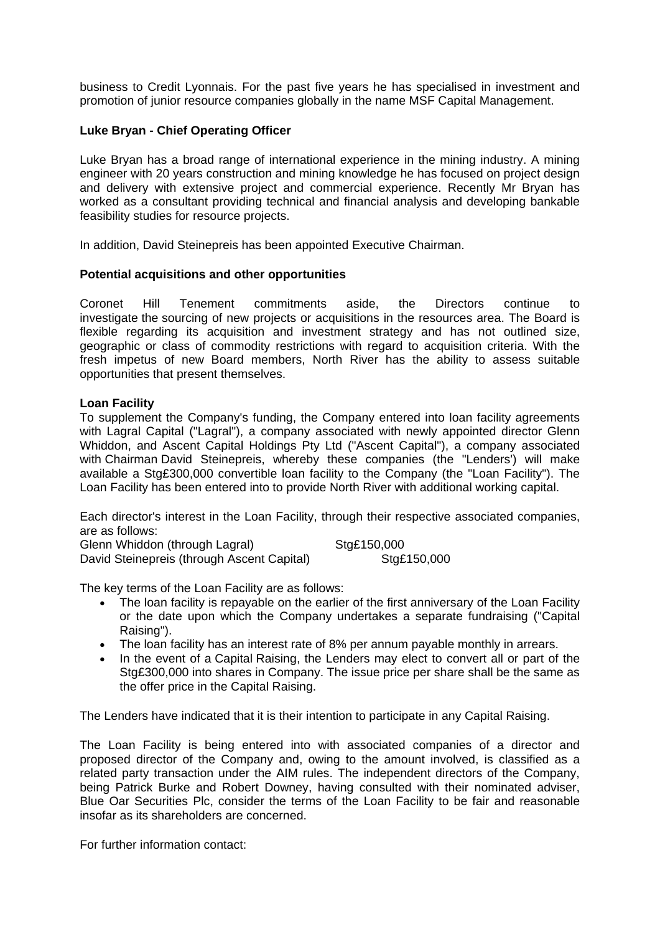business to Credit Lyonnais. For the past five years he has specialised in investment and promotion of junior resource companies globally in the name MSF Capital Management.

## **Luke Bryan - Chief Operating Officer**

Luke Bryan has a broad range of international experience in the mining industry. A mining engineer with 20 years construction and mining knowledge he has focused on project design and delivery with extensive project and commercial experience. Recently Mr Bryan has worked as a consultant providing technical and financial analysis and developing bankable feasibility studies for resource projects.

In addition, David Steinepreis has been appointed Executive Chairman.

#### **Potential acquisitions and other opportunities**

Coronet Hill Tenement commitments aside, the Directors continue to investigate the sourcing of new projects or acquisitions in the resources area. The Board is flexible regarding its acquisition and investment strategy and has not outlined size, geographic or class of commodity restrictions with regard to acquisition criteria. With the fresh impetus of new Board members, North River has the ability to assess suitable opportunities that present themselves.

#### **Loan Facility**

To supplement the Company's funding, the Company entered into loan facility agreements with Lagral Capital ("Lagral"), a company associated with newly appointed director Glenn Whiddon, and Ascent Capital Holdings Pty Ltd ("Ascent Capital"), a company associated with Chairman David Steinepreis, whereby these companies (the "Lenders') will make available a Stg£300,000 convertible loan facility to the Company (the "Loan Facility"). The Loan Facility has been entered into to provide North River with additional working capital.

Each director's interest in the Loan Facility, through their respective associated companies, are as follows:

Glenn Whiddon (through Lagral) Sta£150,000 David Steinepreis (through Ascent Capital) Stg£150,000

The key terms of the Loan Facility are as follows:

- The loan facility is repayable on the earlier of the first anniversary of the Loan Facility or the date upon which the Company undertakes a separate fundraising ("Capital Raising").
- The loan facility has an interest rate of 8% per annum payable monthly in arrears.
- In the event of a Capital Raising, the Lenders may elect to convert all or part of the Stg£300,000 into shares in Company. The issue price per share shall be the same as the offer price in the Capital Raising.

The Lenders have indicated that it is their intention to participate in any Capital Raising.

The Loan Facility is being entered into with associated companies of a director and proposed director of the Company and, owing to the amount involved, is classified as a related party transaction under the AIM rules. The independent directors of the Company, being Patrick Burke and Robert Downey, having consulted with their nominated adviser, Blue Oar Securities Plc, consider the terms of the Loan Facility to be fair and reasonable insofar as its shareholders are concerned.

For further information contact: